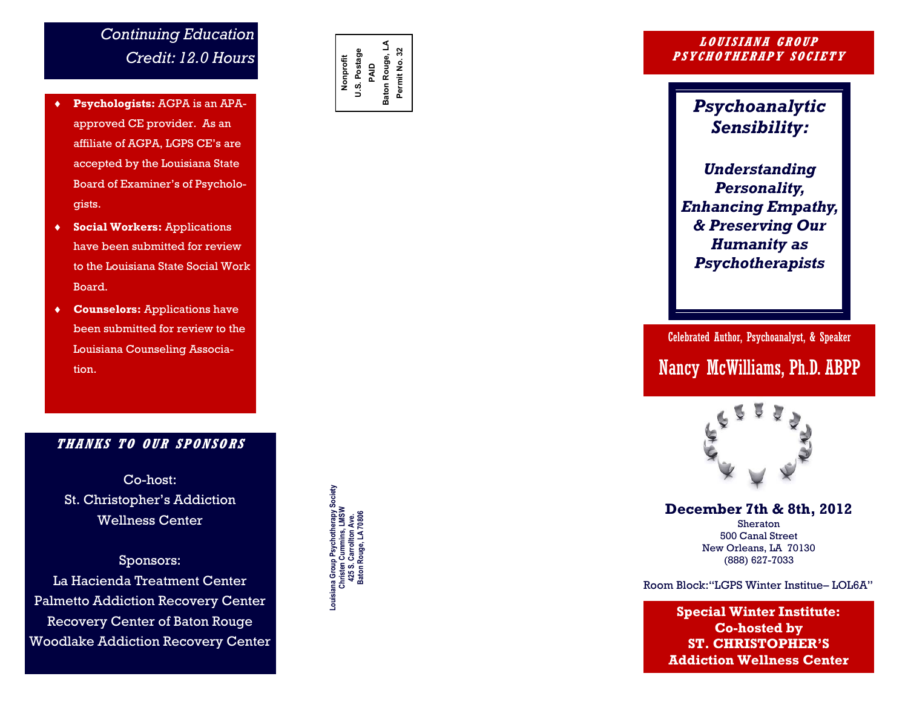## *Continuing Education Credit: 12.0 Hours*

- **Psychologists:** AGPA is an APA approved CE provider. As an affiliate of AGPA, LGPS CE's are accepted by the Louisiana State Board of Examiner's of Psychologists.
- **Social Workers:** Applications have been submitted for review to the Louisiana State Social Work Board.
- **Counselors:** Applications have been submitted for review to the Louisiana Counseling Association.

### **THANKS TO OUR SPONSO RS**

Co -host: St. Christopher's Addiction Wellness Center

Sponsors: La Hacienda Treatment Center Palmetto Addiction Recovery Center Recovery Center of Baton Rouge Woodlake Addiction Recovery Center **Nonprofit U.S. Postage**  PAID<br>Baton Rouge, LA **Baton Rouge, LA Permit No. 32**

**Louisiana Group Psychotherapy Society Christen Cummins, LMSW 425 S. Carrollton Ave. Baton Rouge, LA 70806**

Louisiana Group Psychotherapy Sov<br>Christen Cummins, LMSW<br>425 S. Carrollton Ave.<br>Baton Rouge, LA 70806

#### **LOUISIANA GROUP PSYCHOTHERAPY SOCIETY**

*Psychoanalytic Sensibility:* 

*Understanding Personality, Enhancing Empathy, & Preserving Our Humanity as Psychotherapists*

Celebrated Author, Psychoanalyst, & Speaker Nancy McWilliams, Ph.D. ABPP



### **December 7th & 8th, 2012**

Sheraton 500 Canal Street New Orleans, LA 70130 (888) 627 -7033

Room Block:"LGPS Winter Institue – LOL6A"

**Special Winter Institute: Co -hosted by ST. CHRISTOPHER'S Addiction Wellness Center**